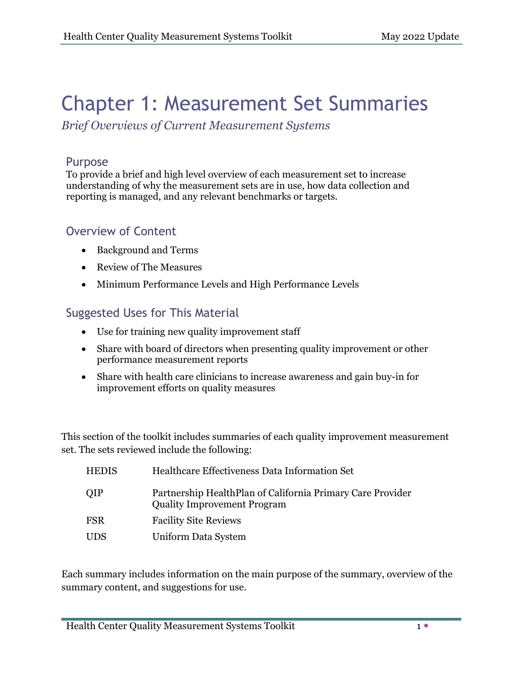# Chapter 1: Measurement Set Summaries

*Brief Overviews of Current Measurement Systems*

#### Purpose

To provide a brief and high level overview of each measurement set to increase understanding of why the measurement sets are in use, how data collection and reporting is managed, and any relevant benchmarks or targets.

# Overview of Content

- Background and Terms
- Review of The Measures
- Minimum Performance Levels and High Performance Levels

# Suggested Uses for This Material

- Use for training new quality improvement staff
- Share with board of directors when presenting quality improvement or other performance measurement reports
- Share with health care clinicians to increase awareness and gain buy-in for improvement efforts on quality measures

This section of the toolkit includes summaries of each quality improvement measurement set. The sets reviewed include the following:

| <b>HEDIS</b> | Healthcare Effectiveness Data Information Set                                                    |
|--------------|--------------------------------------------------------------------------------------------------|
| <b>OIP</b>   | Partnership HealthPlan of California Primary Care Provider<br><b>Quality Improvement Program</b> |
| <b>FSR</b>   | <b>Facility Site Reviews</b>                                                                     |
| <b>UDS</b>   | Uniform Data System                                                                              |

Each summary includes information on the main purpose of the summary, overview of the summary content, and suggestions for use.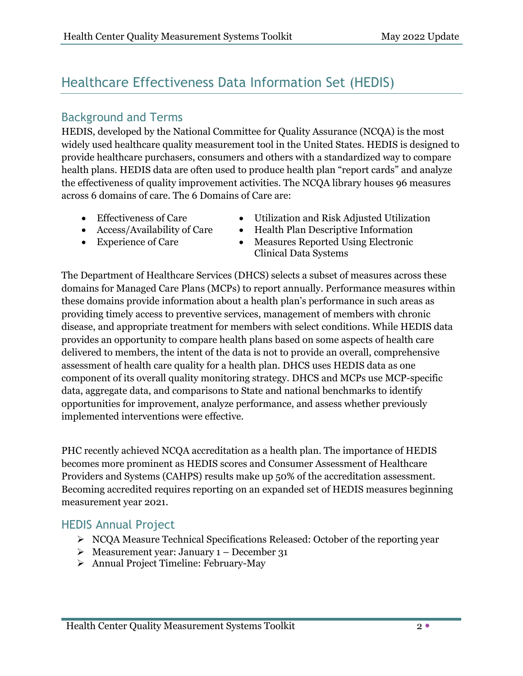# Healthcare Effectiveness Data Information Set (HEDIS)

# Background and Terms

HEDIS, developed by the National Committee for Quality Assurance (NCQA) is the most widely used healthcare quality measurement tool in the United States. HEDIS is designed to provide healthcare purchasers, consumers and others with a standardized way to compare health plans. HEDIS data are often used to produce health plan "report cards" and analyze the effectiveness of quality improvement activities. The NCQA library houses 96 measures across 6 domains of care. The 6 Domains of Care are:

- Effectiveness of Care
- Access/Availability of Care
- Experience of Care
- Utilization and Risk Adjusted Utilization
- Health Plan Descriptive Information
- Measures Reported Using Electronic Clinical Data Systems

The Department of Healthcare Services (DHCS) selects a subset of measures across these domains for Managed Care Plans (MCPs) to report annually. Performance measures within these domains provide information about a health plan's performance in such areas as providing timely access to preventive services, management of members with chronic disease, and appropriate treatment for members with select conditions. While HEDIS data provides an opportunity to compare health plans based on some aspects of health care delivered to members, the intent of the data is not to provide an overall, comprehensive assessment of health care quality for a health plan. DHCS uses HEDIS data as one component of its overall quality monitoring strategy. DHCS and MCPs use MCP-specific data, aggregate data, and comparisons to State and national benchmarks to identify opportunities for improvement, analyze performance, and assess whether previously implemented interventions were effective.

PHC recently achieved NCQA accreditation as a health plan. The importance of HEDIS becomes more prominent as HEDIS scores and Consumer Assessment of Healthcare Providers and Systems (CAHPS) results make up 50% of the accreditation assessment. Becoming accredited requires reporting on an expanded set of HEDIS measures beginning measurement year 2021.

# HEDIS Annual Project

- ▶ NCQA Measure Technical Specifications Released: October of the reporting year
- $\triangleright$  Measurement year: January 1 December 31
- Annual Project Timeline: February-May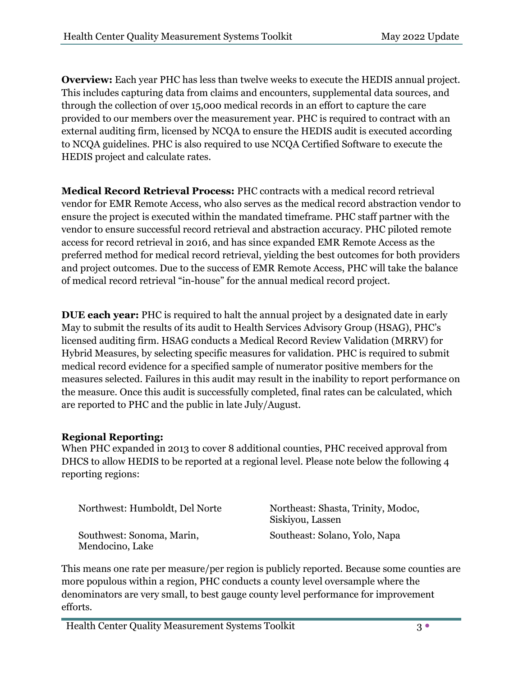**Overview:** Each year PHC has less than twelve weeks to execute the HEDIS annual project. This includes capturing data from claims and encounters, supplemental data sources, and through the collection of over 15,000 medical records in an effort to capture the care provided to our members over the measurement year. PHC is required to contract with an external auditing firm, licensed by NCQA to ensure the HEDIS audit is executed according to NCQA guidelines. PHC is also required to use NCQA Certified Software to execute the HEDIS project and calculate rates.

**Medical Record Retrieval Process:** PHC contracts with a medical record retrieval vendor for EMR Remote Access, who also serves as the medical record abstraction vendor to ensure the project is executed within the mandated timeframe. PHC staff partner with the vendor to ensure successful record retrieval and abstraction accuracy. PHC piloted remote access for record retrieval in 2016, and has since expanded EMR Remote Access as the preferred method for medical record retrieval, yielding the best outcomes for both providers and project outcomes. Due to the success of EMR Remote Access, PHC will take the balance of medical record retrieval "in-house" for the annual medical record project.

**DUE each year:** PHC is required to halt the annual project by a designated date in early May to submit the results of its audit to Health Services Advisory Group (HSAG), PHC's licensed auditing firm. HSAG conducts a Medical Record Review Validation (MRRV) for Hybrid Measures, by selecting specific measures for validation. PHC is required to submit medical record evidence for a specified sample of numerator positive members for the measures selected. Failures in this audit may result in the inability to report performance on the measure. Once this audit is successfully completed, final rates can be calculated, which are reported to PHC and the public in late July/August.

#### **Regional Reporting:**

When PHC expanded in 2013 to cover 8 additional counties, PHC received approval from DHCS to allow HEDIS to be reported at a regional level. Please note below the following 4 reporting regions:

| Northwest: Humboldt, Del Norte               | Northeast: Shasta, Trinity, Modoc,<br>Siskiyou, Lassen |
|----------------------------------------------|--------------------------------------------------------|
| Southwest: Sonoma, Marin,<br>Mendocino, Lake | Southeast: Solano, Yolo, Napa                          |

This means one rate per measure/per region is publicly reported. Because some counties are more populous within a region, PHC conducts a county level oversample where the denominators are very small, to best gauge county level performance for improvement efforts.

Health Center Quality Measurement Systems Toolkit 3 . 3 .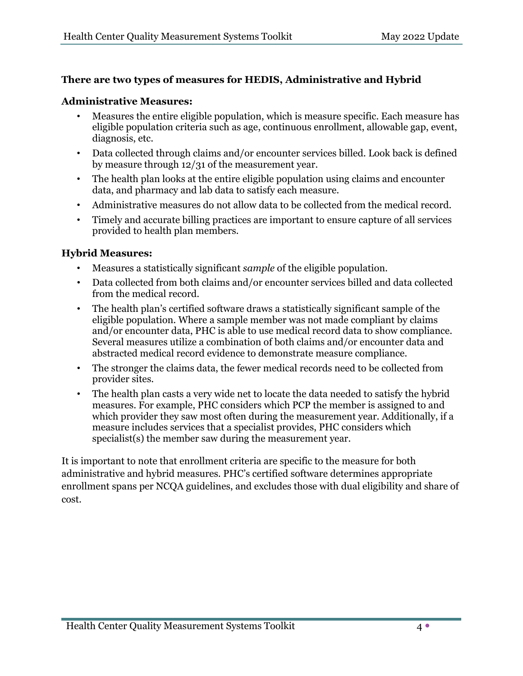#### **There are two types of measures for HEDIS, Administrative and Hybrid**

#### **Administrative Measures:**

- Measures the entire eligible population, which is measure specific. Each measure has eligible population criteria such as age, continuous enrollment, allowable gap, event, diagnosis, etc.
- Data collected through claims and/or encounter services billed. Look back is defined by measure through 12/31 of the measurement year.
- The health plan looks at the entire eligible population using claims and encounter data, and pharmacy and lab data to satisfy each measure.
- Administrative measures do not allow data to be collected from the medical record.
- Timely and accurate billing practices are important to ensure capture of all services provided to health plan members.

#### **Hybrid Measures:**

- Measures a statistically significant *sample* of the eligible population.
- Data collected from both claims and/or encounter services billed and data collected from the medical record.
- The health plan's certified software draws a statistically significant sample of the eligible population. Where a sample member was not made compliant by claims and/or encounter data, PHC is able to use medical record data to show compliance. Several measures utilize a combination of both claims and/or encounter data and abstracted medical record evidence to demonstrate measure compliance.
- The stronger the claims data, the fewer medical records need to be collected from provider sites.
- The health plan casts a very wide net to locate the data needed to satisfy the hybrid measures. For example, PHC considers which PCP the member is assigned to and which provider they saw most often during the measurement year. Additionally, if a measure includes services that a specialist provides, PHC considers which specialist(s) the member saw during the measurement year.

It is important to note that enrollment criteria are specific to the measure for both administrative and hybrid measures. PHC's certified software determines appropriate enrollment spans per NCQA guidelines, and excludes those with dual eligibility and share of cost.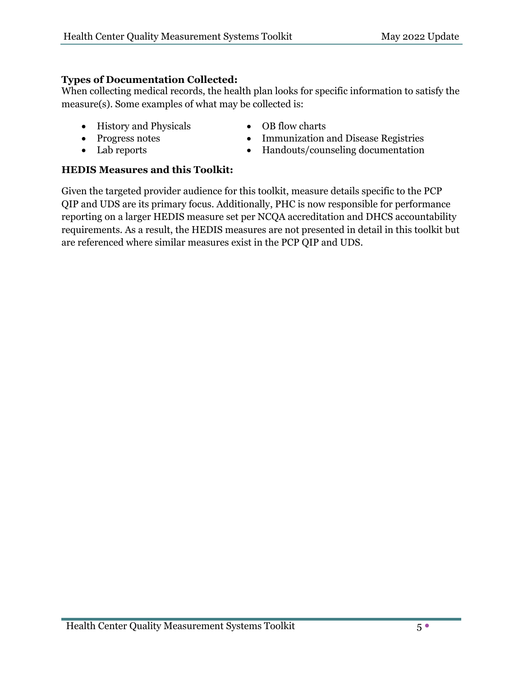#### **Types of Documentation Collected:**

When collecting medical records, the health plan looks for specific information to satisfy the measure(s). Some examples of what may be collected is:

• History and Physicals

• Progress notes • Lab reports

- OB flow charts
- Immunization and Disease Registries
- Handouts/counseling documentation

#### **HEDIS Measures and this Toolkit:**

Given the targeted provider audience for this toolkit, measure details specific to the PCP QIP and UDS are its primary focus. Additionally, PHC is now responsible for performance reporting on a larger HEDIS measure set per NCQA accreditation and DHCS accountability requirements. As a result, the HEDIS measures are not presented in detail in this toolkit but are referenced where similar measures exist in the PCP QIP and UDS.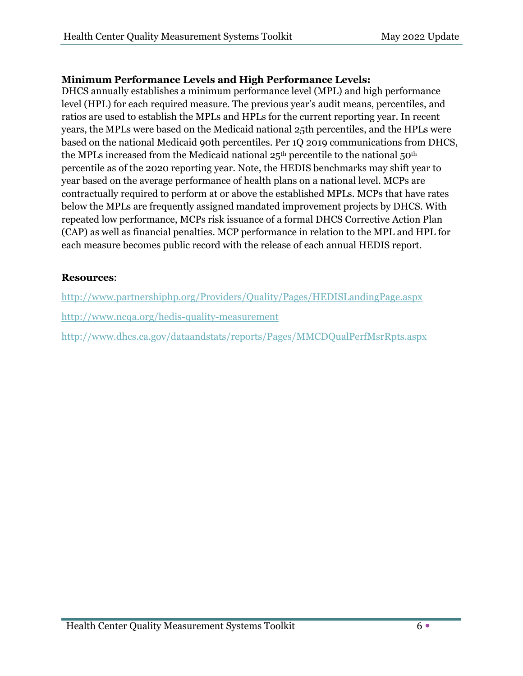#### **Minimum Performance Levels and High Performance Levels:**

DHCS annually establishes a minimum performance level (MPL) and high performance level (HPL) for each required measure. The previous year's audit means, percentiles, and ratios are used to establish the MPLs and HPLs for the current reporting year. In recent years, the MPLs were based on the Medicaid national 25th percentiles, and the HPLs were based on the national Medicaid 90th percentiles. Per 1Q 2019 communications from DHCS, the MPLs increased from the Medicaid national  $25<sup>th</sup>$  percentile to the national  $50<sup>th</sup>$ percentile as of the 2020 reporting year. Note, the HEDIS benchmarks may shift year to year based on the average performance of health plans on a national level. MCPs are contractually required to perform at or above the established MPLs. MCPs that have rates below the MPLs are frequently assigned mandated improvement projects by DHCS. With repeated low performance, MCPs risk issuance of a formal DHCS Corrective Action Plan (CAP) as well as financial penalties. MCP performance in relation to the MPL and HPL for each measure becomes public record with the release of each annual HEDIS report.

#### **[Resources](file://titan/world/aimlach/HEDIS%202018%20Season%20Closeout/Resources)**:

<http://www.partnershiphp.org/Providers/Quality/Pages/HEDISLandingPage.aspx> <http://www.ncqa.org/hedis-quality-measurement> <http://www.dhcs.ca.gov/dataandstats/reports/Pages/MMCDQualPerfMsrRpts.aspx>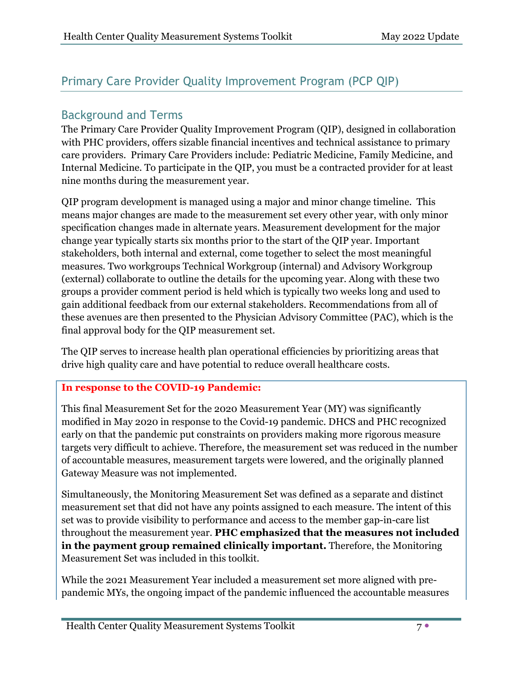# Primary Care Provider Quality Improvement Program (PCP QIP)

# Background and Terms

The Primary Care Provider Quality Improvement Program (QIP), designed in collaboration with PHC providers, offers sizable financial incentives and technical assistance to primary care providers. Primary Care Providers include: Pediatric Medicine, Family Medicine, and Internal Medicine. To participate in the QIP, you must be a contracted provider for at least nine months during the measurement year.

QIP program development is managed using a major and minor change timeline. This means major changes are made to the measurement set every other year, with only minor specification changes made in alternate years. Measurement development for the major change year typically starts six months prior to the start of the QIP year. Important stakeholders, both internal and external, come together to select the most meaningful measures. Two workgroups Technical Workgroup (internal) and Advisory Workgroup (external) collaborate to outline the details for the upcoming year. Along with these two groups a provider comment period is held which is typically two weeks long and used to gain additional feedback from our external stakeholders. Recommendations from all of these avenues are then presented to the Physician Advisory Committee (PAC), which is the final approval body for the QIP measurement set.

The QIP serves to increase health plan operational efficiencies by prioritizing areas that drive high quality care and have potential to reduce overall healthcare costs.

#### **In response to the COVID-19 Pandemic:**

This final Measurement Set for the 2020 Measurement Year (MY) was significantly modified in May 2020 in response to the Covid-19 pandemic. DHCS and PHC recognized early on that the pandemic put constraints on providers making more rigorous measure targets very difficult to achieve. Therefore, the measurement set was reduced in the number of accountable measures, measurement targets were lowered, and the originally planned Gateway Measure was not implemented.

Simultaneously, the Monitoring Measurement Set was defined as a separate and distinct measurement set that did not have any points assigned to each measure. The intent of this set was to provide visibility to performance and access to the member gap-in-care list throughout the measurement year. **PHC emphasized that the measures not included in the payment group remained clinically important.** Therefore, the Monitoring Measurement Set was included in this toolkit.

While the 2021 Measurement Year included a measurement set more aligned with prepandemic MYs, the ongoing impact of the pandemic influenced the accountable measures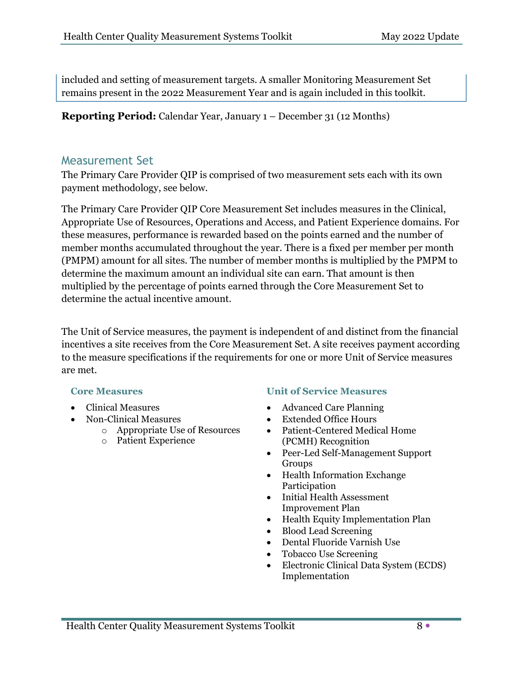included and setting of measurement targets. A smaller Monitoring Measurement Set remains present in the 2022 Measurement Year and is again included in this toolkit.

**Reporting Period:** Calendar Year, January 1 – December 31 (12 Months)

#### Measurement Set

The Primary Care Provider QIP is comprised of two measurement sets each with its own payment methodology, see below.

The Primary Care Provider QIP Core Measurement Set includes measures in the Clinical, Appropriate Use of Resources, Operations and Access, and Patient Experience domains. For these measures, performance is rewarded based on the points earned and the number of member months accumulated throughout the year. There is a fixed per member per month (PMPM) amount for all sites. The number of member months is multiplied by the PMPM to determine the maximum amount an individual site can earn. That amount is then multiplied by the percentage of points earned through the Core Measurement Set to determine the actual incentive amount.

The Unit of Service measures, the payment is independent of and distinct from the financial incentives a site receives from the Core Measurement Set. A site receives payment according to the measure specifications if the requirements for one or more Unit of Service measures are met.

- Clinical Measures
- Non-Clinical Measures
	- o Appropriate Use of Resources
	- o Patient Experience

#### **Core Measures Unit of Service Measures**

- Advanced Care Planning
- Extended Office Hours
- Patient-Centered Medical Home (PCMH) Recognition
- Peer-Led Self-Management Support Groups
- Health Information Exchange Participation
- Initial Health Assessment Improvement Plan
- Health Equity Implementation Plan
- Blood Lead Screening
- Dental Fluoride Varnish Use
- Tobacco Use Screening
- Electronic Clinical Data System (ECDS) Implementation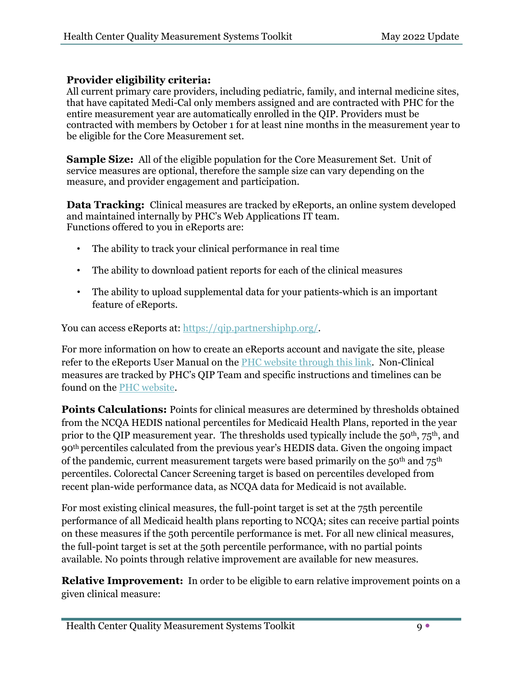#### **Provider eligibility criteria:**

All current primary care providers, including pediatric, family, and internal medicine sites, that have capitated Medi-Cal only members assigned and are contracted with PHC for the entire measurement year are automatically enrolled in the QIP. Providers must be contracted with members by October 1 for at least nine months in the measurement year to be eligible for the Core Measurement set.

**Sample Size:** All of the eligible population for the Core Measurement Set. Unit of service measures are optional, therefore the sample size can vary depending on the measure, and provider engagement and participation.

**Data Tracking:** Clinical measures are tracked by eReports, an online system developed and maintained internally by PHC's Web Applications IT team. Functions offered to you in eReports are:

- The ability to track your clinical performance in real time
- The ability to download patient reports for each of the clinical measures
- The ability to upload supplemental data for your patients-which is an important feature of eReports.

You can access eReports at: [https://qip.partnershiphp.org/.](https://qip.partnershiphp.org/)

For more information on how to create an eReports account and navigate the site, please refer to the eReports User Manual on the [PHC website through this link.](https://qip.partnershiphp.org/help.aspx) Non-Clinical measures are tracked by PHC's QIP Team and specific instructions and timelines can be found on the [PHC website.](http://www.partnershiphp.org/Providers/Quality/Pages/PCP-QIP-2021.aspx)

**Points Calculations:** Points for clinical measures are determined by thresholds obtained from the NCQA HEDIS national percentiles for Medicaid Health Plans, reported in the year prior to the QIP measurement year. The thresholds used typically include the 50<sup>th</sup>, 75<sup>th</sup>, and 90th percentiles calculated from the previous year's HEDIS data. Given the ongoing impact of the pandemic, current measurement targets were based primarily on the  $50<sup>th</sup>$  and  $75<sup>th</sup>$ percentiles. Colorectal Cancer Screening target is based on percentiles developed from recent plan-wide performance data, as NCQA data for Medicaid is not available.

For most existing clinical measures, the full-point target is set at the 75th percentile performance of all Medicaid health plans reporting to NCQA; sites can receive partial points on these measures if the 50th percentile performance is met. For all new clinical measures, the full-point target is set at the 50th percentile performance, with no partial points available. No points through relative improvement are available for new measures.

**Relative Improvement:** In order to be eligible to earn relative improvement points on a given clinical measure: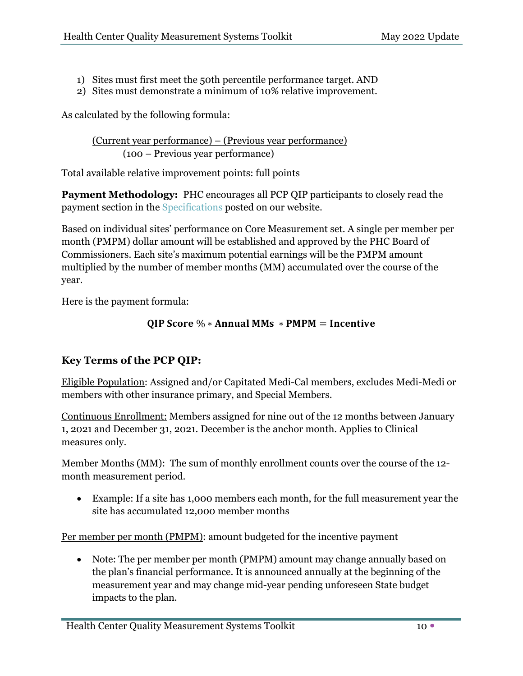- 1) Sites must first meet the 50th percentile performance target. AND
- 2) Sites must demonstrate a minimum of 10% relative improvement.

As calculated by the following formula:

(Current year performance) – (Previous year performance) (100 – Previous year performance)

Total available relative improvement points: full points

**Payment Methodology:** PHC encourages all PCP QIP participants to closely read the payment section in the [Specifications](http://www.partnershiphp.org/Providers/Quality/Documents/QIP%202022/2022%20PCP%20QIP%20Measure%20Specifications_Website%20Version_FINAL_02.25.2022.pdf) posted on our website.

Based on individual sites' performance on Core Measurement set. A single per member per month (PMPM) dollar amount will be established and approved by the PHC Board of Commissioners. Each site's maximum potential earnings will be the PMPM amount multiplied by the number of member months (MM) accumulated over the course of the year.

Here is the payment formula:

#### QIP Score %  $*$  Annual MMs  $*$  PMPM = Incentive

### **Key Terms of the PCP QIP:**

Eligible Population: Assigned and/or Capitated Medi-Cal members, excludes Medi-Medi or members with other insurance primary, and Special Members.

Continuous Enrollment: Members assigned for nine out of the 12 months between January 1, 2021 and December 31, 2021. December is the anchor month. Applies to Clinical measures only.

Member Months (MM): The sum of monthly enrollment counts over the course of the 12 month measurement period.

• Example: If a site has 1,000 members each month, for the full measurement year the site has accumulated 12,000 member months

Per member per month (PMPM): amount budgeted for the incentive payment

• Note: The per member per month (PMPM) amount may change annually based on the plan's financial performance. It is announced annually at the beginning of the measurement year and may change mid-year pending unforeseen State budget impacts to the plan.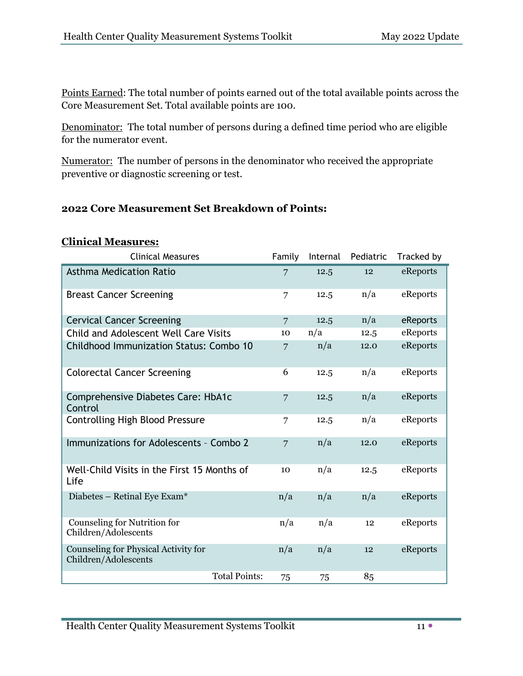Points Earned: The total number of points earned out of the total available points across the Core Measurement Set. Total available points are 100.

Denominator:The total number of persons during a defined time period who are eligible for the numerator event.

Numerator:The number of persons in the denominator who received the appropriate preventive or diagnostic screening or test.

#### **2022 Core Measurement Set Breakdown of Points:**

#### **Clinical Measures:**

| <b>Clinical Measures</b>                                     | Family          | Internal | Pediatric | Tracked by |
|--------------------------------------------------------------|-----------------|----------|-----------|------------|
| <b>Asthma Medication Ratio</b>                               | 7               | 12.5     | 12        | eReports   |
| <b>Breast Cancer Screening</b>                               | 7               | 12.5     | n/a       | eReports   |
| <b>Cervical Cancer Screening</b>                             | $\overline{7}$  | 12.5     | n/a       | eReports   |
| Child and Adolescent Well Care Visits                        | 10 <sup>2</sup> | n/a      | 12.5      | eReports   |
| Childhood Immunization Status: Combo 10                      | 7               | n/a      | 12.0      | eReports   |
| <b>Colorectal Cancer Screening</b>                           | 6               | 12.5     | n/a       | eReports   |
| Comprehensive Diabetes Care: HbA1c<br>Control                | 7               | 12.5     | n/a       | eReports   |
| <b>Controlling High Blood Pressure</b>                       | 7               | 12.5     | n/a       | eReports   |
| Immunizations for Adolescents - Combo 2                      | 7               | n/a      | 12.0      | eReports   |
| Well-Child Visits in the First 15 Months of<br>Life          | 10              | n/a      | 12.5      | eReports   |
| Diabetes - Retinal Eye Exam*                                 | n/a             | n/a      | n/a       | eReports   |
| Counseling for Nutrition for<br>Children/Adolescents         | n/a             | n/a      | 12        | eReports   |
| Counseling for Physical Activity for<br>Children/Adolescents | n/a             | n/a      | 12        | eReports   |
| <b>Total Points:</b>                                         | 75              | 75       | 85        |            |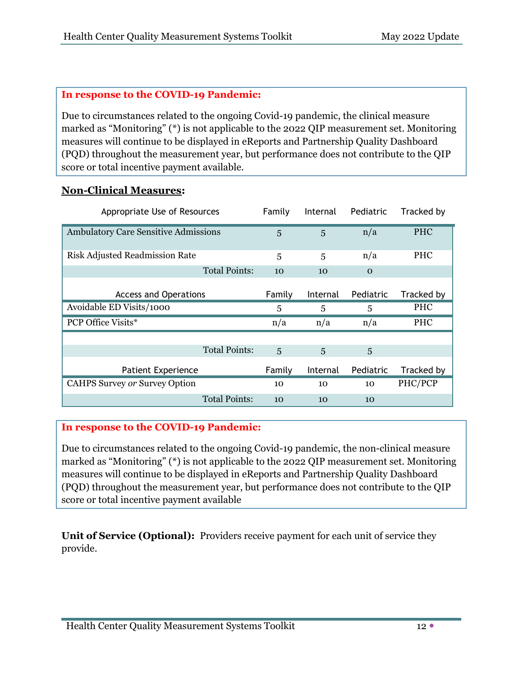#### **In response to the COVID-19 Pandemic:**

Due to circumstances related to the ongoing Covid-19 pandemic, the clinical measure marked as "Monitoring" (\*) is not applicable to the 2022 QIP measurement set. Monitoring measures will continue to be displayed in eReports and Partnership Quality Dashboard (PQD) throughout the measurement year, but performance does not contribute to the QIP score or total incentive payment available.

#### **Non-Clinical Measures:**

| Appropriate Use of Resources                | Family | Internal       | Pediatric | Tracked by |
|---------------------------------------------|--------|----------------|-----------|------------|
| <b>Ambulatory Care Sensitive Admissions</b> | 5      | $\overline{5}$ | n/a       | <b>PHC</b> |
| <b>Risk Adjusted Readmission Rate</b>       | 5      | 5              | n/a       | <b>PHC</b> |
| <b>Total Points:</b>                        | 10     | 10             | $\Omega$  |            |
| <b>Access and Operations</b>                | Family | Internal       | Pediatric | Tracked by |
| Avoidable ED Visits/1000                    | 5      | 5              | 5         | <b>PHC</b> |
| <b>PCP Office Visits*</b>                   | n/a    | n/a            | n/a       | <b>PHC</b> |
|                                             |        |                |           |            |
| <b>Total Points:</b>                        | 5      | $\overline{5}$ | 5         |            |
| <b>Patient Experience</b>                   | Family | Internal       | Pediatric | Tracked by |
| <b>CAHPS Survey or Survey Option</b>        | 10     | 10             | 10        | PHC/PCP    |
| <b>Total Points:</b>                        | 10     | 10             | 10        |            |

#### **In response to the COVID-19 Pandemic:**

Due to circumstances related to the ongoing Covid-19 pandemic, the non-clinical measure marked as "Monitoring" (\*) is not applicable to the 2022 QIP measurement set. Monitoring measures will continue to be displayed in eReports and Partnership Quality Dashboard (PQD) throughout the measurement year, but performance does not contribute to the QIP score or total incentive payment available

**Unit of Service (Optional):** Providers receive payment for each unit of service they provide.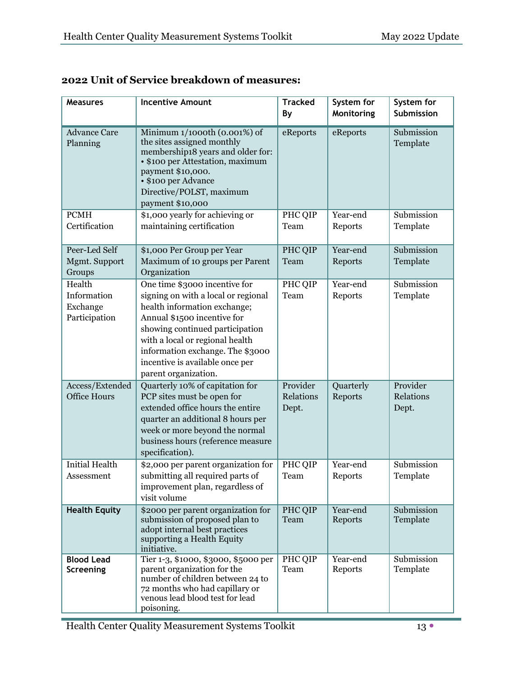| <b>Measures</b>                                                                                                                                                            | <b>Incentive Amount</b>                                                                                                                                                                                                                                                                                  | <b>Tracked</b><br>By           | System for<br>Monitoring | System for<br>Submission       |
|----------------------------------------------------------------------------------------------------------------------------------------------------------------------------|----------------------------------------------------------------------------------------------------------------------------------------------------------------------------------------------------------------------------------------------------------------------------------------------------------|--------------------------------|--------------------------|--------------------------------|
| <b>Advance Care</b><br>Planning                                                                                                                                            | Minimum 1/1000th (0.001%) of<br>the sites assigned monthly<br>membership18 years and older for:<br>• \$100 per Attestation, maximum<br>payment \$10,000.<br>• \$100 per Advance<br>Directive/POLST, maximum<br>payment \$10,000                                                                          | eReports                       | eReports                 | Submission<br>Template         |
| <b>PCMH</b><br>Certification                                                                                                                                               | \$1,000 yearly for achieving or<br>maintaining certification                                                                                                                                                                                                                                             | PHC QIP<br>Team                | Year-end<br>Reports      | Submission<br>Template         |
| Peer-Led Self<br>Mgmt. Support<br>Groups                                                                                                                                   | \$1,000 Per Group per Year<br>Maximum of 10 groups per Parent<br>Organization                                                                                                                                                                                                                            | PHC QIP<br>Team                | Year-end<br>Reports      | Submission<br>Template         |
| Health<br>Information<br>Exchange<br>Participation                                                                                                                         | One time \$3000 incentive for<br>signing on with a local or regional<br>health information exchange;<br>Annual \$1500 incentive for<br>showing continued participation<br>with a local or regional health<br>information exchange. The \$3000<br>incentive is available once per<br>parent organization. | PHC QIP<br>Team                | Year-end<br>Reports      | Submission<br>Template         |
| Access/Extended<br><b>Office Hours</b>                                                                                                                                     | Quarterly 10% of capitation for<br>PCP sites must be open for<br>extended office hours the entire<br>quarter an additional 8 hours per<br>week or more beyond the normal<br>business hours (reference measure<br>specification).                                                                         | Provider<br>Relations<br>Dept. | Quarterly<br>Reports     | Provider<br>Relations<br>Dept. |
| <b>Initial Health</b><br>\$2,000 per parent organization for<br>submitting all required parts of<br>Assessment<br>improvement plan, regardless of<br>visit volume          |                                                                                                                                                                                                                                                                                                          | PHC QIP<br>Team                | Year-end<br>Reports      | Submission<br>Template         |
| <b>Health Equity</b><br>\$2000 per parent organization for<br>submission of proposed plan to<br>adopt internal best practices<br>supporting a Health Equity<br>initiative. |                                                                                                                                                                                                                                                                                                          | PHC QIP<br>Team                | Year-end<br>Reports      | Submission<br>Template         |
| <b>Blood Lead</b><br>Screening                                                                                                                                             | Tier 1-3, \$1000, \$3000, \$5000 per<br>parent organization for the<br>number of children between 24 to<br>72 months who had capillary or<br>venous lead blood test for lead<br>poisoning.                                                                                                               | PHC QIP<br>Team                | Year-end<br>Reports      | Submission<br>Template         |

# **2022 Unit of Service breakdown of measures:**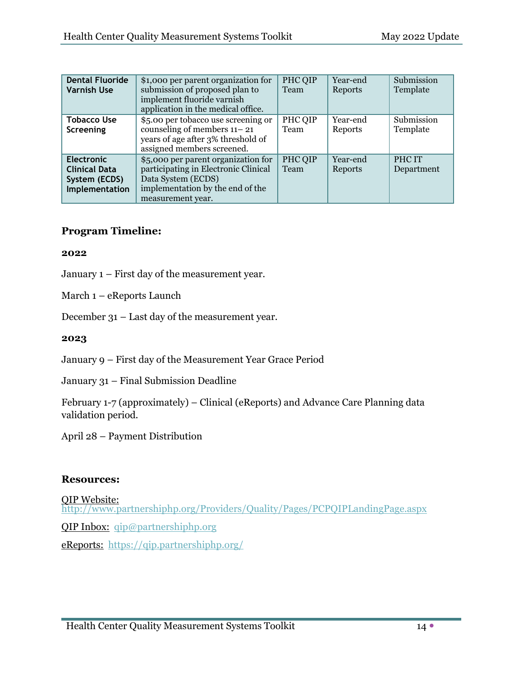| <b>Dental Fluoride</b><br><b>Varnish Use</b>                                                                                                                                                                                               | \$1,000 per parent organization for<br>submission of proposed plan to<br>implement fluoride varnish<br>application in the medical office.  |                 | Year-end<br>Reports | Submission<br>Template |
|--------------------------------------------------------------------------------------------------------------------------------------------------------------------------------------------------------------------------------------------|--------------------------------------------------------------------------------------------------------------------------------------------|-----------------|---------------------|------------------------|
| <b>Tobacco Use</b><br>Screening                                                                                                                                                                                                            | \$5.00 per tobacco use screening or<br>counseling of members $11 - 21$<br>years of age after 3% threshold of<br>assigned members screened. | PHC QIP<br>Team | Year-end<br>Reports | Submission<br>Template |
| \$5,000 per parent organization for<br><b>Electronic</b><br>participating in Electronic Clinical<br><b>Clinical Data</b><br>Data System (ECDS)<br>System (ECDS)<br>implementation by the end of the<br>Implementation<br>measurement year. |                                                                                                                                            | PHC QIP<br>Team | Year-end<br>Reports | PHC IT<br>Department   |

#### **Program Timeline:**

#### **2022**

January 1 – First day of the measurement year.

March 1 – eReports Launch

December 31 – Last day of the measurement year.

#### **2023**

January 9 – First day of the Measurement Year Grace Period

January 31 – Final Submission Deadline

February 1-7 (approximately) – Clinical (eReports) and Advance Care Planning data validation period.

April 28 – Payment Distribution

#### **Resources:**

[QIP Website: http://www.partnershiphp.org/Providers/Quality/Pages/PCPQIPLandingPage.aspx](http://www.partnershiphp.org/Providers/Quality/Pages/PCPQIPLandingPage.aspx) QIP Inbox: [qip@partnershiphp.org](mailto:qip@partnershiphp.org) eReports:<https://qip.partnershiphp.org/>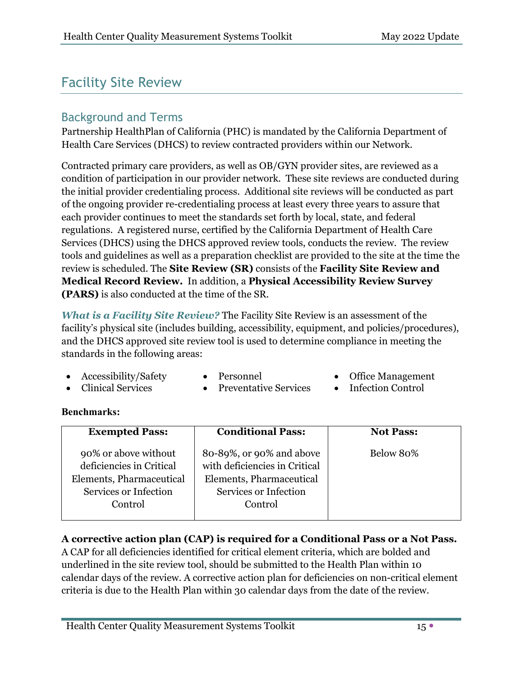# Facility Site Review

# Background and Terms

Partnership HealthPlan of California (PHC) is mandated by the California Department of Health Care Services (DHCS) to review contracted providers within our Network.

Contracted primary care providers, as well as OB/GYN provider sites, are reviewed as a condition of participation in our provider network. These site reviews are conducted during the initial provider credentialing process. Additional site reviews will be conducted as part of the ongoing provider re-credentialing process at least every three years to assure that each provider continues to meet the standards set forth by local, state, and federal regulations. A registered nurse, certified by the California Department of Health Care Services (DHCS) using the DHCS approved review tools, conducts the review. The review tools and guidelines as well as a preparation checklist are provided to the site at the time the review is scheduled. The **Site Review (SR)** consists of the **Facility Site Review and Medical Record Review.** In addition, a **Physical Accessibility Review Survey (PARS)** is also conducted at the time of the SR.

*What is a Facility Site Review?* The Facility Site Review is an assessment of the facility's physical site (includes building, accessibility, equipment, and policies/procedures), and the DHCS approved site review tool is used to determine compliance in meeting the standards in the following areas:

- Accessibility/Safety Personnel Office Management
	-
- 
- Clinical Services Preventative Services Infection Control
- 

#### **Benchmarks:**

| <b>Exempted Pass:</b>                                                                                            | <b>Conditional Pass:</b>                                                                                                  | <b>Not Pass:</b> |
|------------------------------------------------------------------------------------------------------------------|---------------------------------------------------------------------------------------------------------------------------|------------------|
| 90% or above without<br>deficiencies in Critical<br>Elements, Pharmaceutical<br>Services or Infection<br>Control | 80-89%, or 90% and above<br>with deficiencies in Critical<br>Elements, Pharmaceutical<br>Services or Infection<br>Control | Below 80%        |
|                                                                                                                  |                                                                                                                           |                  |

#### **A corrective action plan (CAP) is required for a Conditional Pass or a Not Pass.**

A CAP for all deficiencies identified for critical element criteria, which are bolded and underlined in the site review tool, should be submitted to the Health Plan within 10 calendar days of the review. A corrective action plan for deficiencies on non-critical element criteria is due to the Health Plan within 30 calendar days from the date of the review.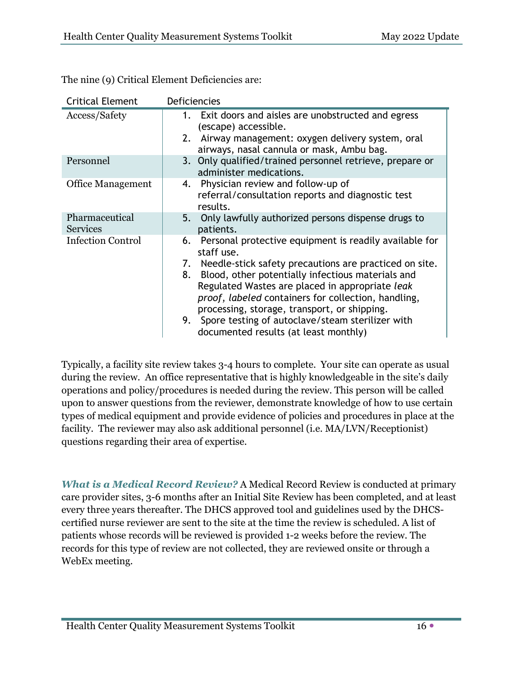| <b>Critical Element</b>           | Deficiencies                                                                                                                                                                                                                                                                                                                                                                                                                                                 |
|-----------------------------------|--------------------------------------------------------------------------------------------------------------------------------------------------------------------------------------------------------------------------------------------------------------------------------------------------------------------------------------------------------------------------------------------------------------------------------------------------------------|
| Access/Safety                     | 1. Exit doors and aisles are unobstructed and egress<br>(escape) accessible.<br>Airway management: oxygen delivery system, oral<br>2.<br>airways, nasal cannula or mask, Ambu bag.                                                                                                                                                                                                                                                                           |
| Personnel                         | 3. Only qualified/trained personnel retrieve, prepare or<br>administer medications.                                                                                                                                                                                                                                                                                                                                                                          |
| <b>Office Management</b>          | Physician review and follow-up of<br>4.<br>referral/consultation reports and diagnostic test<br>results.                                                                                                                                                                                                                                                                                                                                                     |
| Pharmaceutical<br><b>Services</b> | 5. Only lawfully authorized persons dispense drugs to<br>patients.                                                                                                                                                                                                                                                                                                                                                                                           |
| <b>Infection Control</b>          | 6. Personal protective equipment is readily available for<br>staff use.<br>Needle-stick safety precautions are practiced on site.<br>7.<br>Blood, other potentially infectious materials and<br>8.<br>Regulated Wastes are placed in appropriate leak<br>proof, labeled containers for collection, handling,<br>processing, storage, transport, or shipping.<br>9. Spore testing of autoclave/steam sterilizer with<br>documented results (at least monthly) |

The nine (9) Critical Element Deficiencies are:

Typically, a facility site review takes 3-4 hours to complete. Your site can operate as usual during the review. An office representative that is highly knowledgeable in the site's daily operations and policy/procedures is needed during the review. This person will be called upon to answer questions from the reviewer, demonstrate knowledge of how to use certain types of medical equipment and provide evidence of policies and procedures in place at the facility. The reviewer may also ask additional personnel (i.e. MA/LVN/Receptionist) questions regarding their area of expertise.

*What is a Medical Record Review?* A Medical Record Review is conducted at primary care provider sites, 3-6 months after an Initial Site Review has been completed, and at least every three years thereafter. The DHCS approved tool and guidelines used by the DHCScertified nurse reviewer are sent to the site at the time the review is scheduled. A list of patients whose records will be reviewed is provided 1-2 weeks before the review. The records for this type of review are not collected, they are reviewed onsite or through a WebEx meeting.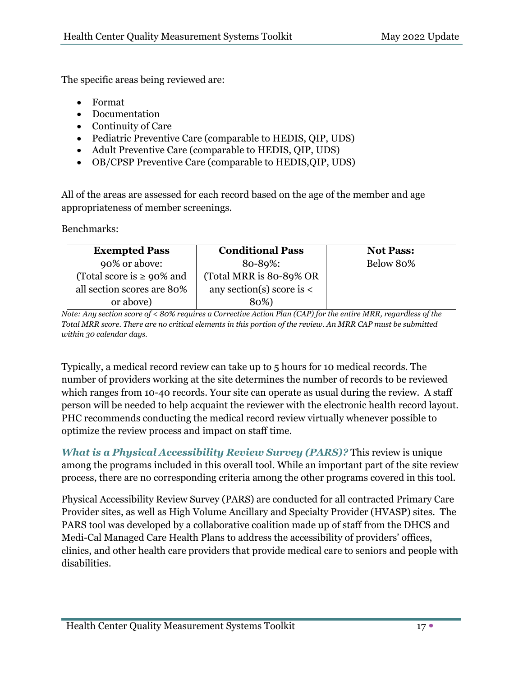The specific areas being reviewed are:

- Format
- Documentation
- Continuity of Care
- Pediatric Preventive Care (comparable to HEDIS, QIP, UDS)
- Adult Preventive Care (comparable to HEDIS, QIP, UDS)
- OB/CPSP Preventive Care (comparable to HEDIS,QIP, UDS)

All of the areas are assessed for each record based on the age of the member and age appropriateness of member screenings.

Benchmarks:

| <b>Exempted Pass</b>            | <b>Conditional Pass</b>       | <b>Not Pass:</b> |
|---------------------------------|-------------------------------|------------------|
| 90% or above:                   | 80-89%:                       | Below 80%        |
| (Total score is $\geq 90\%$ and | (Total MRR is 80-89% OR       |                  |
| all section scores are 80%      | any section(s) score is $\lt$ |                  |
| or above)                       | 80%)                          |                  |

*Note: Any section score of < 80% requires a Corrective Action Plan (CAP) for the entire MRR, regardless of the Total MRR score. There are no critical elements in this portion of the review. An MRR CAP must be submitted within 30 calendar days.* 

Typically, a medical record review can take up to 5 hours for 10 medical records. The number of providers working at the site determines the number of records to be reviewed which ranges from 10-40 records. Your site can operate as usual during the review. A staff person will be needed to help acquaint the reviewer with the electronic health record layout. PHC recommends conducting the medical record review virtually whenever possible to optimize the review process and impact on staff time.

*What is a Physical Accessibility Review Survey (PARS)?* This review is unique among the programs included in this overall tool. While an important part of the site review process, there are no corresponding criteria among the other programs covered in this tool.

Physical Accessibility Review Survey (PARS) are conducted for all contracted Primary Care Provider sites, as well as High Volume Ancillary and Specialty Provider (HVASP) sites. The PARS tool was developed by a collaborative coalition made up of staff from the DHCS and Medi-Cal Managed Care Health Plans to address the accessibility of providers' offices, clinics, and other health care providers that provide medical care to seniors and people with disabilities.